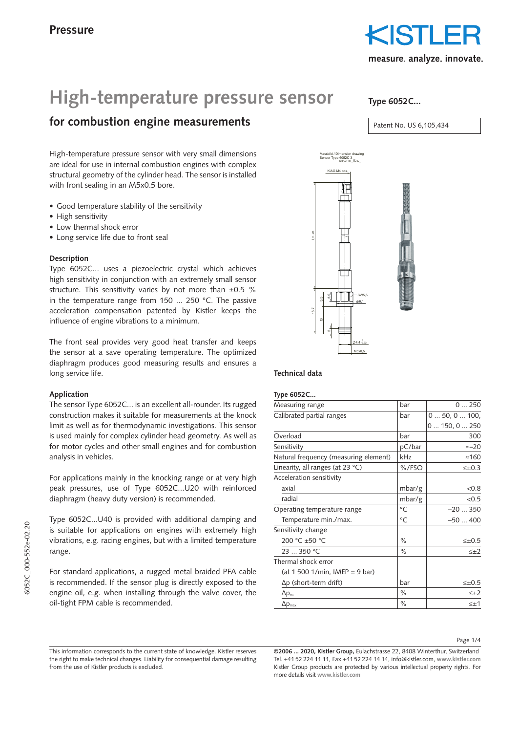

# High-temperature pressure sensor

# **for combustion engine measurements**

High-temperature pressure sensor with very small dimensions are ideal for use in internal combustion engines with complex structural geometry of the cylinder head. The sensor is installed with front sealing in an M5x0.5 bore.  $\frac{1}{2}$ 

- Good temperature stability of the sensitivity
- High sensitivity
- Low thermal shock error
- Long service life due to front seal

## **Description**

Type 6052C... uses a piezoelectric crystal which achieves high sensitivity in conjunction with an extremely small sensor structure. This sensitivity varies by not more than  $\pm 0.5$  % in the temperature range from 150 ... 250 °C. The passive acceleration compensation patented by Kistler keeps the influence of engine vibrations to a minimum. .<br>b

The front seal provides very good heat transfer and keeps the sensor at a save operating temperature. The optimized diaphragm produces good measuring results and ensures a long service life.  $\overline{a}$ 

### **Application**

The sensor Type 6052C... is an excellent all-rounder. Its rugged construction makes it suitable for measurements at the knock limit as well as for thermodynamic investigations. This sensor is used mainly for complex cylinder head geometry. As well as for motor cycles and other small engines and for combustion analysis in vehicles. Das Urheberrecht an dieser Zeichnung, die dem Empfänger persönlich anvertraut wird, verbleibt unser<br>Die Staats unserer Firma. Verbleibt unserer Firma. Die verbleibt unserer Firma. Die sein die Staats und die St ohne vie<br>Ohne Genehmigung dar<br>Cenehmigung darf die Zeichnung darf die Zeichnung dark darf die Zeichnung dark die Zeichnung dark die Zeichnun per<br>s<br>ikn er zugänglich gemacht werden.<br>Eilenen

For applications mainly in the knocking range or at very high peak pressures, use of Type 6052C...U20 with reinforced diaphragm (heavy duty version) is recommended.

Type 6052C...U40 is provided with additional damping and is suitable for applications on engines with extremely high vibrations, e.g. racing engines, but with a limited temperature range.

For standard applications, a rugged metal braided PFA cable is recommended. If the sensor plug is directly exposed to the engine oil, e.g. when installing through the valve cover, the oil-tight FPM cable is recommended.

**Type 6052C...**

Patent No. US 6,105,434



### **Technical data**

#### **Type 6052C...**

| Measuring range                       | bar    | 0250           |
|---------------------------------------|--------|----------------|
| Calibrated partial ranges             | bar    | 0 50, 0 100,   |
|                                       |        | 0150, 0250     |
| Overload                              | bar    | 300            |
| Sensitivity                           | pC/bar | $\approx -20$  |
| Natural frequency (measuring element) | kHz    | $\approx$ 160  |
| Linearity, all ranges (at $23 °C$ )   | %/FSO  | $\leq \pm 0.3$ |
| Acceleration sensitivity              |        |                |
| axial                                 | mbar/g | < 0.8          |
| radial                                | mbar/g | < 0.5          |
| Operating temperature range           | °C     | $-20350$       |
| Temperature min./max.                 | °C     | $-50400$       |
| Sensitivity change                    |        |                |
| 200 °C ±50 °C                         | $\%$   | $\leq \pm 0.5$ |
| 23  350 °C                            | $\%$   | $\leq \pm 2$   |
| Thermal shock error                   |        |                |
| $(at 1 500 1/min, IMEP = 9 bar)$      |        |                |
| $\Delta p$ (short-term drift)         | bar    | $\leq \pm 0.5$ |
| $\Delta p_{\text{mi}}$                | $\%$   | $\leq \pm 2$   |
| $\Delta p_{\rm max}$                  | $\%$   | $\leq \pm 1$   |
|                                       |        |                |

This information corresponds to the current state of knowledge. Kistler reserves the right to make technical changes. Liability for consequential damage resulting from the use of Kistler products is excluded.

**<sup>©2006 ... 2020,</sup> Kistler Group,** Eulachstrasse 22, 8408 Winterthur, Switzerland Tel. +41 52 224 11 11, Fax +41 52 224 14 14, info@kistler.com, **www.kistler.com** Kistler Group products are protected by various intellectual property rights. For more details visit **www.kistler.com**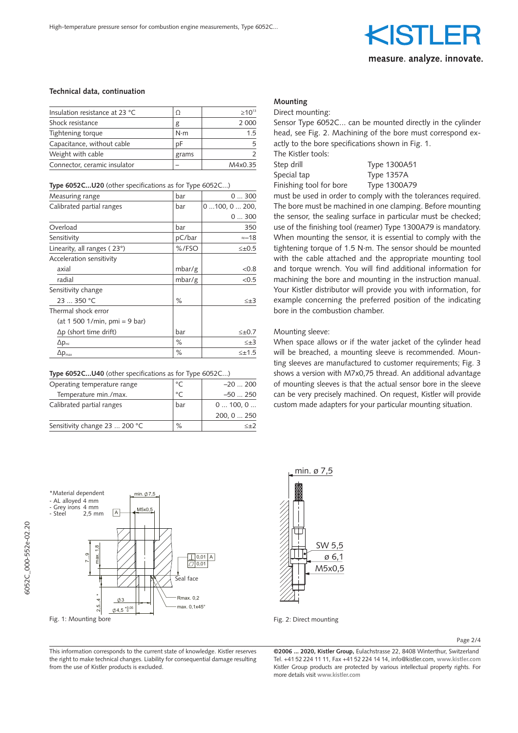

### **Technical data, continuation**

| Insulation resistance at 23 °C | Ω           | $>10^{13}$ |
|--------------------------------|-------------|------------|
| Shock resistance               | g           | 2 0 0 0    |
| Tightening torque              | $N \cdot m$ | 15         |
| Capacitance, without cable     | рF          |            |
| Weight with cable              | grams       |            |
| Connector, ceramic insulator   |             | M4x0.35    |
|                                |             |            |

#### **Type 6052C...U20** (other specifications as for Type 6052C...)

| Measuring range                                        | bar       | 0300           |
|--------------------------------------------------------|-----------|----------------|
| Calibrated partial ranges                              | bar       | 0100, 0200,    |
|                                                        |           | 0300           |
| Overload                                               | bar       | 350            |
| Sensitivity                                            | pC/bar    | $\approx -18$  |
| Linearity, all ranges (23°)                            | %/FSO     | $\leq \pm 0.5$ |
| Acceleration sensitivity                               |           |                |
| axial                                                  | mbar/g    | < 0.8          |
| radial                                                 | mbar/g    | < 0.5          |
| Sensitivity change                                     |           |                |
| 23  350 °C                                             | $\%$      | $\leq \pm 3$   |
| Thermal shock error                                    |           |                |
| $(at 1 500 1/min, pmi = 9 bar)$                        |           |                |
| $\Delta p$ (short time drift)                          | bar       | $\leq \pm 0.7$ |
| $\Delta p_{\text{mi}}$                                 | $\%$      | $\leq \pm 3$   |
| $\Delta p_{\text{max}}$                                | $\%$      | $\leq \pm 1.5$ |
| Type 6052CU40 (other specifications as for Type 6052C) |           |                |
| Operating temperature range                            | °C        | $-20200$       |
| Temperature min./max.                                  | $\circ$ C | $-50250$       |
| Calibrated partial ranges                              | bar       | 0100, 0        |
|                                                        |           | 200, 0  250    |
| Sensitivity change 23  200 °C                          | $\%$      | $\leq \pm 2$   |

#### **Type 6052C...U40** (other specifications as for Type 6052C...)

| Operating temperature range   | $\circ$ | $-20200$    |
|-------------------------------|---------|-------------|
| Temperature min./max.         | $\circ$ | $-50250$    |
| Calibrated partial ranges     | bar     | 0100, 0     |
|                               |         | 200, 0  250 |
| Sensitivity change 23  200 °C | $\%$    |             |



 $\mathcal{A}$  and  $\mathcal{A}$  are  $\mathcal{A}$ 

6052C\_000-552e-02.20

5052C 000-552e-02.20

SW 5,5 ø 6,1 M5x0,5 min. ø 7,5

Fig. 2: Direct mounting

Page 2/4

This information corresponds to the current state of knowledge. Kistler reserves The right to make technical changes. Liability for consequential damage resulting the right from the use of Kistler products is excluded. persönlich anvertraut wird, verbleibt unserer Firma.  $\overline{\Gamma}$ h $\overline{\Gamma}$ ing darf die Zeichnung dar $\overline{\Gamma}$ is<br>er<br>im t der zugänglich gemacht werden.<br>T

**Mounting**

Direct mounting: Sensor Type 6052C... can be mounted directly in the cylinder head, see Fig. 2. Machining of the bore must correspond exactly to the bore specifications shown in Fig. 1. The Kistler tools:

Step drill Type 1300A51 Special tap Type 1357A Finishing tool for bore Type 1300A79

must be used in order to comply with the tolerances required. The bore must be machined in one clamping. Before mounting the sensor, the sealing surface in particular must be checked; use of the finishing tool (reamer) Type 1300A79 is mandatory.  $\overline{\phantom{a}}$  When mounting the sensor, it is essential to comply with the  $\leq \pm 0.5$  tightening torque of 1.5 N·m. The sensor should be mounted with the cable attached and the appropriate mounting tool and torque wrench. You will find additional information for machining the bore and mounting in the instruction manual. Your Kistler distributor will provide you with information, for example concerning the preferred position of the indicating bore in the combustion chamber. Massbild / Dimension drawing

#### Mounting sleeve:

When space allows or if the water jacket of the cylinder head will be breached, a mounting sleeve is recommended. Mounting sleeves are manufactured to customer requirements; Fig. 3 shows a version with M7x0,75 thread. An additional advantage of mounting sleeves is that the actual sensor bore in the sleeve can be very precisely machined. On request, Kistler will provide custom made adapters for your particular mounting situation.

**©2006 ... 2020, Kistler Group,** Eulachstrasse 22, 8408 Winterthur, Switzerland Tel. +41 52 224 11 11, Fax +41 52 224 14 14, info@kistler.com, **www.kistler.com** Kistler Group products are protected by various intellectual property rights. For more details visit **www.kistler.com**

Fig. 1: Mounting bore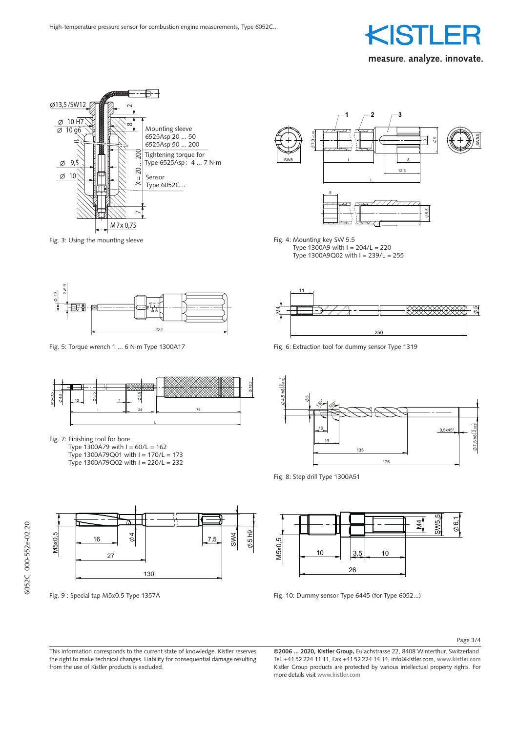



Fig. 3: Using the mounting sleeve





Fig. 7: Finishing tool for bore

Type 1300A79 with  $I = 60/L = 162$ Type 1300A79Q01 with  $I = 170/L = 173$ 

Type 1300A79Q02 with  $I = 220/L = 232$ 



Erstmals verwendet Fig. 9 : Special tap M5x0.5 Type 1357A



Fig. 4: Mounting key SW 5.5 Type 1300A9 with  $I = 204/L = 220$ Type  $1300A9Q02$  with  $I = 239/L = 255$ 



Fig. 5: Torque wrench 1 ... 6 N∙m Type 1300A17 Fig. 6: Extraction tool for dummy sensor Type 1319



Fig. 8: Step drill Type 1300A51



Fig. 10: Dummy sensor Type 6445 (for Type 6052...)

Page 3/4  $\frac{1}{\text{age}}$  datum Ersatz für Mass  $\frac{1}{\text{age}}$  datum Ersatz für Mass  $\frac{1}{\text{age}}$  $P\text{age }3/4$ 

This information corresponds to the current state of knowledge. Kistler reserves the right to make technical changes. Liability for consequential damage resulting Tel. measure. The use of Kistler products is excluded.<br>from the use of Kistler products is excluded. Das Urheberrecht an dieser Zeichnung, dieser Zeichnung, die dem Empfänger Zeichnung, die dem Empfänger Zeichnung, die dem Empfänger Zeichnung, die dem Empfänger Zeichnung, die dem Empfänger Zeichnung, die dem Empfänger Zei persönlich and verbleibt under Firma. In 1980<br>Firma. Verbleibt under Firma. Verbleibt under Firma. Verbleibt under Firma. Verbleibt und die Staat wird, verb<br>Firma. Verbleibt under Firma. Verbleibt under Firma. Verbleibt un  $\overline{\mathbf{q}}$ ow<br>ue  $\frac{1}{\pi}$ Das Urheberrecht an die 15de<br>Urheber persönlich anvertraut wird, verbleibt unserer Firma. Verbleibt und der Firma. Verbleibt und der Firma. Verbleib<br>Bezugstellt unserer Firma. Verbleibt und der Firma. Verbleibt und der Firma. Verbleibt und der Firma. Verbleib Ohne unsere schriftliche Genehmigung darf die Zeichnung ki<br>Kis mitelt oder zuganglich gehören.<br>Die gemacht werden gemacht werden gemacht werden.<br>Die gemacht werden werden gemacht werden gemacht werden. Die gemacht werden gemacht werden gemacht werden gewa<br>Die gemacht werden.

reserves **@2006 ... 2020, Kistler Group,** Eulachstrasse 22, 8408 Winterthur, Switzerland Tel. +41 52 224 11 11, Fax +41 52 224 14 14, info@kistler.com, **www.kistler.com** tor consequential damage resulting Tel. +41 52 224 11 11, Fax +41 52 224 14 14, info@kistler.com, www.kistler.com /<br>Kistler Group products are protected by various intellectual property rights. For<br>more details visit www.k more details visit www.kistler.com